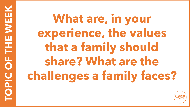**TOPIC OF THE WEEK NOPIC OF THE WE** 

**What are, in your experience, the values that a family should share? What are the challenges a family faces?**